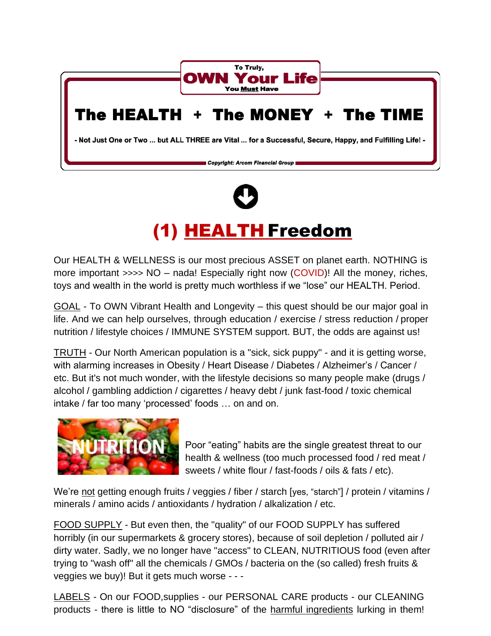



## (1) HEALTH Freedom

Our HEALTH & WELLNESS is our most precious ASSET on planet earth. NOTHING is more important >>>> NO – nada! Especially right now (COVID)! All the money, riches, toys and wealth in the world is pretty much worthless if we "lose" our HEALTH. Period.

GOAL - To OWN Vibrant Health and Longevity – this quest should be our major goal in life. And we can help ourselves, through education / exercise / stress reduction / proper nutrition / lifestyle choices / IMMUNE SYSTEM support. BUT, the odds are against us!

TRUTH - Our North American population is a "sick, sick puppy" - and it is getting worse, with alarming increases in Obesity / Heart Disease / Diabetes / Alzheimer's / Cancer / etc. But it's not much wonder, with the lifestyle decisions so many people make (drugs / alcohol / gambling addiction / cigarettes / heavy debt / junk fast-food / toxic chemical intake / far too many 'processed' foods … on and on.



Poor "eating" habits are the single greatest threat to our health & wellness (too much processed food / red meat / sweets / white flour / fast-foods / oils & fats / etc).

We're not getting enough fruits / veggies / fiber / starch [yes, "starch"] / protein / vitamins / minerals / amino acids / antioxidants / hydration / alkalization / etc.

FOOD SUPPLY - But even then, the "quality" of our FOOD SUPPLY has suffered horribly (in our supermarkets & grocery stores), because of soil depletion / polluted air / dirty water. Sadly, we no longer have "access" to CLEAN, NUTRITIOUS food (even after trying to "wash off" all the chemicals / GMOs / bacteria on the (so called) fresh fruits & veggies we buy)! But it gets much worse - - -

LABELS - On our FOOD,supplies - our PERSONAL CARE products - our CLEANING products - there is little to NO "disclosure" of the harmful ingredients lurking in them!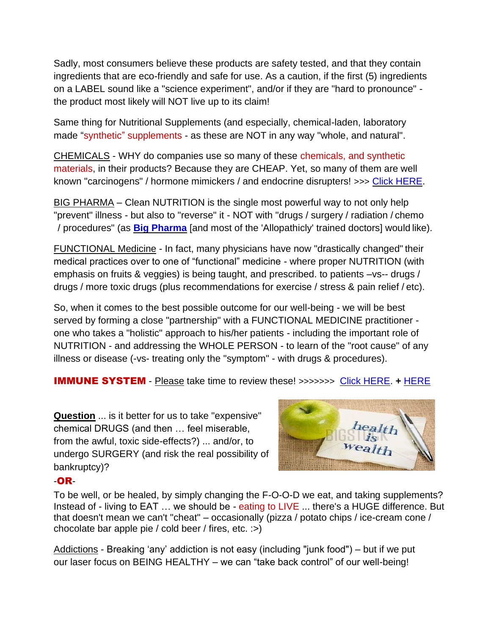Sadly, most consumers believe these products are safety tested, and that they contain ingredients that are eco-friendly and safe for use. As a caution, if the first (5) ingredients on a LABEL sound like a "science experiment", and/or if they are "hard to pronounce" the product most likely will NOT live up to its claim!

Same thing for Nutritional Supplements (and especially, chemical-laden, laboratory made "synthetic" supplements - as these are NOT in any way "whole, and natural".

CHEMICALS - WHY do companies use so many of these chemicals, and synthetic materials, in their products? Because they are CHEAP. Yet, so many of them are well known "carcinogens" / hormone mimickers / and endocrine disrupters! >>> [Click HERE.](https://www.keepandshare.com/doc20/22915/danger-converted-pdf-549k?da=y)

BIG PHARMA – Clean NUTRITION is the single most powerful way to not only help "prevent" illness - but also to "reverse" it - NOT with "drugs / surgery / radiation / chemo / procedures" (as **[Big Pharma](https://www.keepandshare.com/doc20/23962/pharma-converted-pdf-314k?da=y)** [and most of the 'Allopathicly' trained doctors] would like).

FUNCTIONAL Medicine - In fact, many physicians have now "drastically changed" their medical practices over to one of "functional" medicine - where proper NUTRITION (with emphasis on fruits & veggies) is being taught, and prescribed. to patients –vs-- drugs / drugs / more toxic drugs (plus recommendations for exercise / stress & pain relief / etc).

So, when it comes to the best possible outcome for our well-being - we will be best served by forming a close "partnership" with a FUNCTIONAL MEDICINE practitioner one who takes a "holistic" approach to his/her patients - including the important role of NUTRITION - and addressing the WHOLE PERSON - to learn of the "root cause" of any illness or disease (-vs- treating only the "symptom" - with drugs & procedures).

IMMUNE SYSTEM - Please take time to review these! >>>>>>> [Click HERE.](https://www.keepandshare.com/doc20/22935/health-converted-1-pdf-409k?da=y) **+** [HERE](https://www.keepandshare.com/doc20/25193/immunity-converted-pdf-415k?da=y)

**Question** ... is it better for us to take "expensive" chemical DRUGS (and then … feel miserable, from the awful, toxic side-effects?) ... and/or, to undergo SURGERY (and risk the real possibility of bankruptcy)?



## -OR-

To be well, or be healed, by simply changing the F-O-O-D we eat, and taking supplements? Instead of - living to EAT ... we should be - eating to LIVE ... there's a HUGE difference. But that doesn't mean we can't "cheat" – occasionally (pizza / potato chips / ice-cream cone / chocolate bar apple pie / cold beer / fires, etc. :>)

Addictions - Breaking 'any' addiction is not easy (including "junk food") – but if we put our laser focus on BEING HEALTHY – we can "take back control" of our well-being!